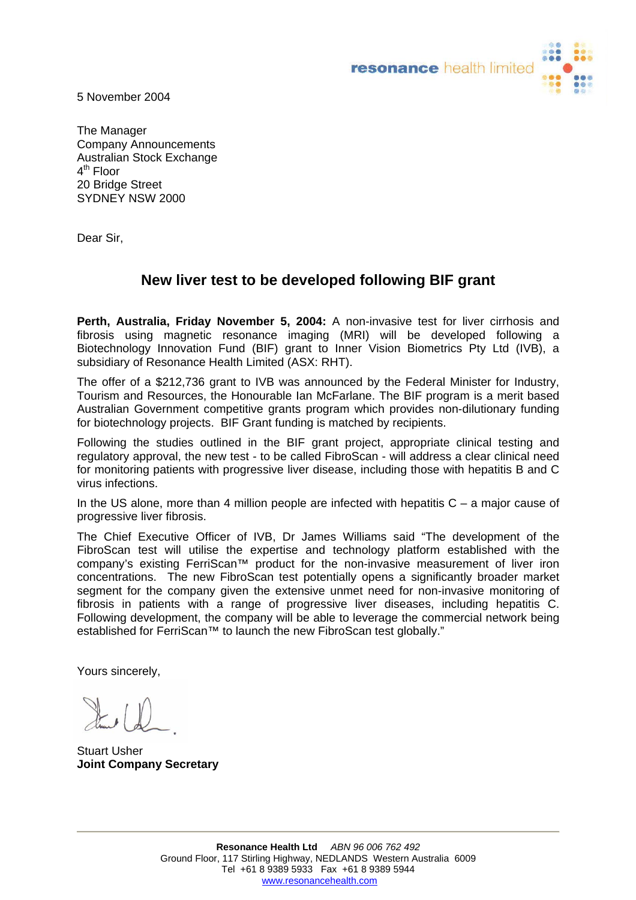

5 November 2004

The Manager Company Announcements Australian Stock Exchange  $4<sup>th</sup>$  Floor 20 Bridge Street SYDNEY NSW 2000

Dear Sir,

## **New liver test to be developed following BIF grant**

**Perth, Australia, Friday November 5, 2004:** A non-invasive test for liver cirrhosis and fibrosis using magnetic resonance imaging (MRI) will be developed following a Biotechnology Innovation Fund (BIF) grant to Inner Vision Biometrics Pty Ltd (IVB), a subsidiary of Resonance Health Limited (ASX: RHT).

The offer of a \$212,736 grant to IVB was announced by the Federal Minister for Industry, Tourism and Resources, the Honourable Ian McFarlane. The BIF program is a merit based Australian Government competitive grants program which provides non-dilutionary funding for biotechnology projects. BIF Grant funding is matched by recipients.

Following the studies outlined in the BIF grant project, appropriate clinical testing and regulatory approval, the new test - to be called FibroScan - will address a clear clinical need for monitoring patients with progressive liver disease, including those with hepatitis B and C virus infections.

In the US alone, more than 4 million people are infected with hepatitis  $C - a$  major cause of progressive liver fibrosis.

The Chief Executive Officer of IVB, Dr James Williams said "The development of the FibroScan test will utilise the expertise and technology platform established with the company's existing FerriScan™ product for the non-invasive measurement of liver iron concentrations. The new FibroScan test potentially opens a significantly broader market segment for the company given the extensive unmet need for non-invasive monitoring of fibrosis in patients with a range of progressive liver diseases, including hepatitis C. Following development, the company will be able to leverage the commercial network being established for FerriScan™ to launch the new FibroScan test globally."

Yours sincerely,

 $\downarrow$   $\downarrow$ 

Stuart Usher **Joint Company Secretary**